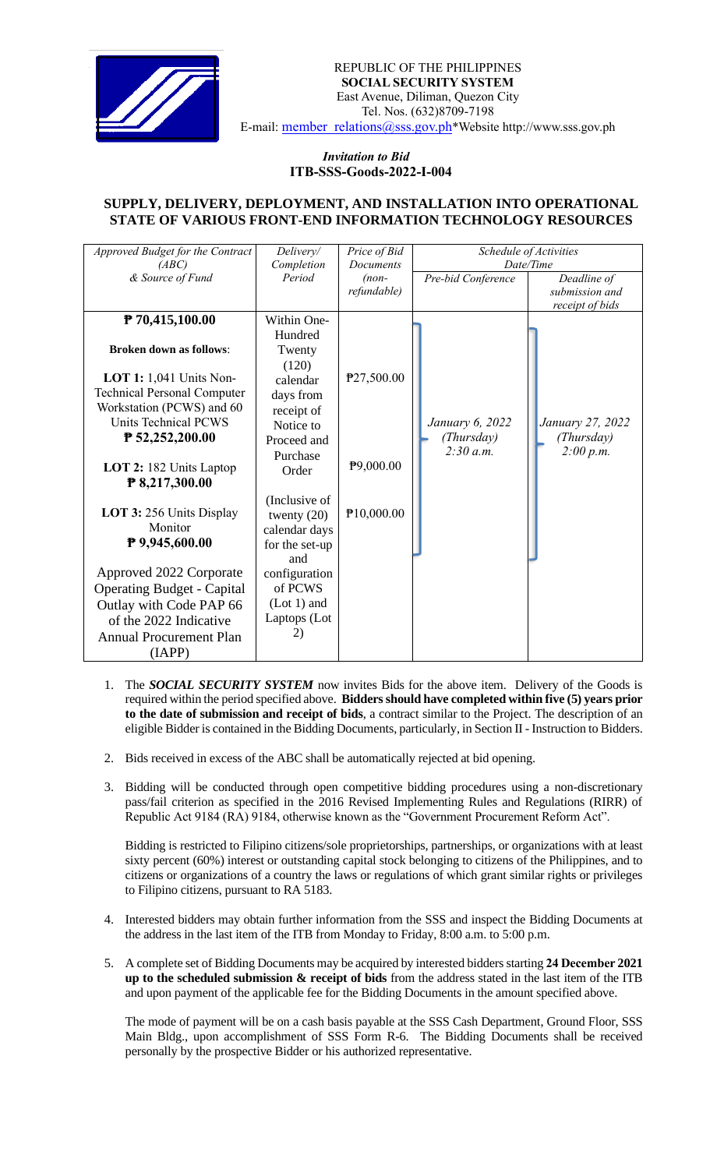

## *Invitation to Bid*  **ITB-SSS-Goods-2022-I-004**

## **SUPPLY, DELIVERY, DEPLOYMENT, AND INSTALLATION INTO OPERATIONAL STATE OF VARIOUS FRONT-END INFORMATION TECHNOLOGY RESOURCES**

| Approved Budget for the Contract   | Delivery/      | Price of Bid | Schedule of Activities |                  |
|------------------------------------|----------------|--------------|------------------------|------------------|
| (ABC)                              | Completion     | Documents    | Date/Time              |                  |
| & Source of Fund                   | Period         | $(non-$      | Pre-bid Conference     | Deadline of      |
|                                    |                | refundable)  |                        | submission and   |
|                                    |                |              |                        | receipt of bids  |
| ₱ 70,415,100.00                    | Within One-    |              |                        |                  |
|                                    | Hundred        |              |                        |                  |
| <b>Broken down as follows:</b>     | Twenty         |              |                        |                  |
|                                    | (120)          |              |                        |                  |
| <b>LOT 1:</b> 1,041 Units Non-     | calendar       | P27,500.00   |                        |                  |
| <b>Technical Personal Computer</b> | days from      |              |                        |                  |
| Workstation (PCWS) and 60          | receipt of     |              |                        |                  |
| Units Technical PCWS               | Notice to      |              | January 6, 2022        | January 27, 2022 |
| ₱ 52,252,200.00                    | Proceed and    |              | (Thursday)             | (Thursday)       |
|                                    | Purchase       |              | 2:30 a.m.              | 2:00 p.m.        |
| LOT 2: 182 Units Laptop            | Order          | P9,000.00    |                        |                  |
| ₱ 8,217,300.00                     |                |              |                        |                  |
|                                    | (Inclusive of  |              |                        |                  |
| LOT 3: 256 Units Display           | twenty $(20)$  | P10,000.00   |                        |                  |
| Monitor                            | calendar days  |              |                        |                  |
| ₱ 9,945,600.00                     | for the set-up |              |                        |                  |
|                                    | and            |              |                        |                  |
| Approved 2022 Corporate            | configuration  |              |                        |                  |
|                                    | of PCWS        |              |                        |                  |
| <b>Operating Budget - Capital</b>  |                |              |                        |                  |
| Outlay with Code PAP 66            | $(Lot 1)$ and  |              |                        |                  |
| of the 2022 Indicative             | Laptops (Lot   |              |                        |                  |
| <b>Annual Procurement Plan</b>     | 2)             |              |                        |                  |
| (IAPP)                             |                |              |                        |                  |

- 1. The *SOCIAL SECURITY SYSTEM* now invites Bids for the above item. Delivery of the Goods is required within the period specified above. **Bidders should have completed within five (5) years prior to the date of submission and receipt of bids**, a contract similar to the Project. The description of an eligible Bidder is contained in the Bidding Documents, particularly, in Section II - Instruction to Bidders.
- 2. Bids received in excess of the ABC shall be automatically rejected at bid opening.
- 3. Bidding will be conducted through open competitive bidding procedures using a non-discretionary pass/fail criterion as specified in the 2016 Revised Implementing Rules and Regulations (RIRR) of Republic Act 9184 (RA) 9184, otherwise known as the "Government Procurement Reform Act".

Bidding is restricted to Filipino citizens/sole proprietorships, partnerships, or organizations with at least sixty percent (60%) interest or outstanding capital stock belonging to citizens of the Philippines, and to citizens or organizations of a country the laws or regulations of which grant similar rights or privileges to Filipino citizens, pursuant to RA 5183.

- 4. Interested bidders may obtain further information from the SSS and inspect the Bidding Documents at the address in the last item of the ITB from Monday to Friday, 8:00 a.m. to 5:00 p.m.
- 5. A complete set of Bidding Documents may be acquired by interested bidders starting **24 December 2021 up to the scheduled submission & receipt of bids** from the address stated in the last item of the ITB and upon payment of the applicable fee for the Bidding Documents in the amount specified above.

The mode of payment will be on a cash basis payable at the SSS Cash Department, Ground Floor, SSS Main Bldg., upon accomplishment of SSS Form R-6. The Bidding Documents shall be received personally by the prospective Bidder or his authorized representative.